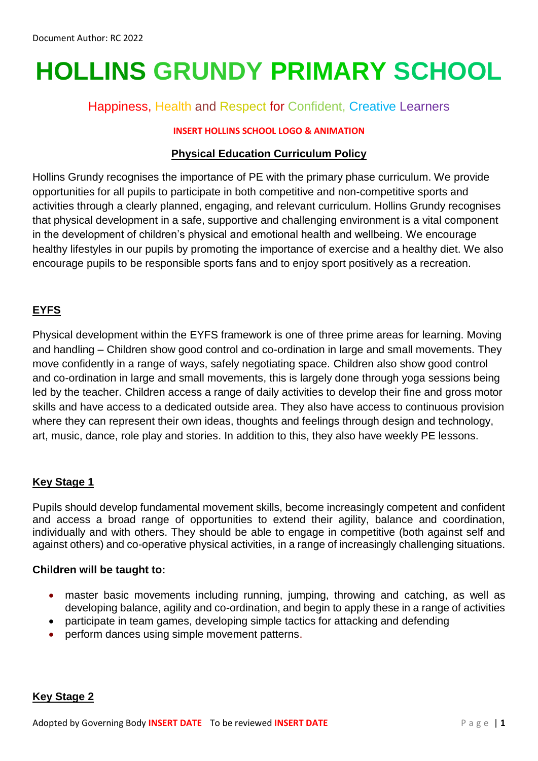# **HOLLINS GRUNDY PRIMARY SCHOOL**

## Happiness, Health and Respect for Confident, Creative Learners

#### **INSERT HOLLINS SCHOOL LOGO & ANIMATION**

#### **Physical Education Curriculum Policy**

Hollins Grundy recognises the importance of PE with the primary phase curriculum. We provide opportunities for all pupils to participate in both competitive and non-competitive sports and activities through a clearly planned, engaging, and relevant curriculum. Hollins Grundy recognises that physical development in a safe, supportive and challenging environment is a vital component in the development of children's physical and emotional health and wellbeing. We encourage healthy lifestyles in our pupils by promoting the importance of exercise and a healthy diet. We also encourage pupils to be responsible sports fans and to enjoy sport positively as a recreation.

### **EYFS**

Physical development within the EYFS framework is one of three prime areas for learning. Moving and handling – Children show good control and co-ordination in large and small movements. They move confidently in a range of ways, safely negotiating space. Children also show good control and co-ordination in large and small movements, this is largely done through yoga sessions being led by the teacher. Children access a range of daily activities to develop their fine and gross motor skills and have access to a dedicated outside area. They also have access to continuous provision where they can represent their own ideas, thoughts and feelings through design and technology, art, music, dance, role play and stories. In addition to this, they also have weekly PE lessons.

#### **Key Stage 1**

Pupils should develop fundamental movement skills, become increasingly competent and confident and access a broad range of opportunities to extend their agility, balance and coordination, individually and with others. They should be able to engage in competitive (both against self and against others) and co-operative physical activities, in a range of increasingly challenging situations.

#### **Children will be taught to:**

- master basic movements including running, jumping, throwing and catching, as well as developing balance, agility and co-ordination, and begin to apply these in a range of activities
- participate in team games, developing simple tactics for attacking and defending
- perform dances using simple movement patterns.

#### **Key Stage 2**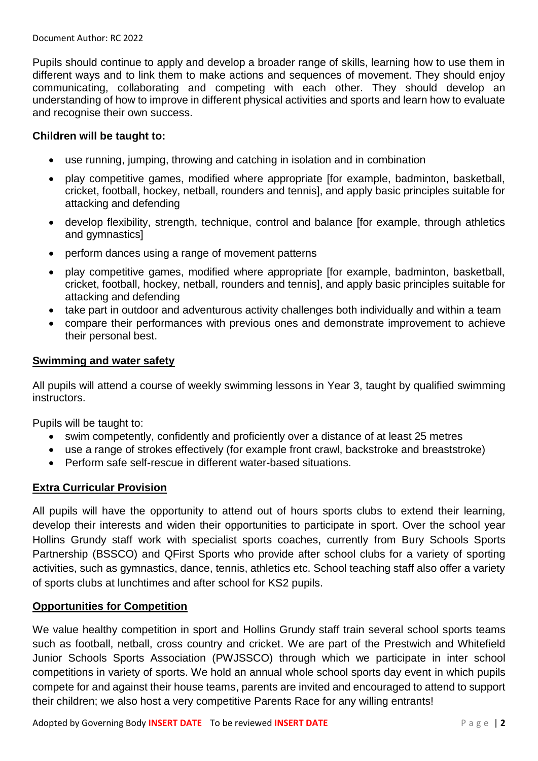Pupils should continue to apply and develop a broader range of skills, learning how to use them in different ways and to link them to make actions and sequences of movement. They should enjoy communicating, collaborating and competing with each other. They should develop an understanding of how to improve in different physical activities and sports and learn how to evaluate and recognise their own success.

#### **Children will be taught to:**

- use running, jumping, throwing and catching in isolation and in combination
- play competitive games, modified where appropriate [for example, badminton, basketball, cricket, football, hockey, netball, rounders and tennis], and apply basic principles suitable for attacking and defending
- develop flexibility, strength, technique, control and balance [for example, through athletics and gymnastics]
- perform dances using a range of movement patterns
- play competitive games, modified where appropriate [for example, badminton, basketball, cricket, football, hockey, netball, rounders and tennis], and apply basic principles suitable for attacking and defending
- take part in outdoor and adventurous activity challenges both individually and within a team
- compare their performances with previous ones and demonstrate improvement to achieve their personal best.

#### **Swimming and water safety**

All pupils will attend a course of weekly swimming lessons in Year 3, taught by qualified swimming instructors.

Pupils will be taught to:

- swim competently, confidently and proficiently over a distance of at least 25 metres
- use a range of strokes effectively (for example front crawl, backstroke and breaststroke)
- Perform safe self-rescue in different water-based situations.

#### **Extra Curricular Provision**

All pupils will have the opportunity to attend out of hours sports clubs to extend their learning. develop their interests and widen their opportunities to participate in sport. Over the school year Hollins Grundy staff work with specialist sports coaches, currently from Bury Schools Sports Partnership (BSSCO) and QFirst Sports who provide after school clubs for a variety of sporting activities, such as gymnastics, dance, tennis, athletics etc. School teaching staff also offer a variety of sports clubs at lunchtimes and after school for KS2 pupils.

#### **Opportunities for Competition**

We value healthy competition in sport and Hollins Grundy staff train several school sports teams such as football, netball, cross country and cricket. We are part of the Prestwich and Whitefield Junior Schools Sports Association (PWJSSCO) through which we participate in inter school competitions in variety of sports. We hold an annual whole school sports day event in which pupils compete for and against their house teams, parents are invited and encouraged to attend to support their children; we also host a very competitive Parents Race for any willing entrants!